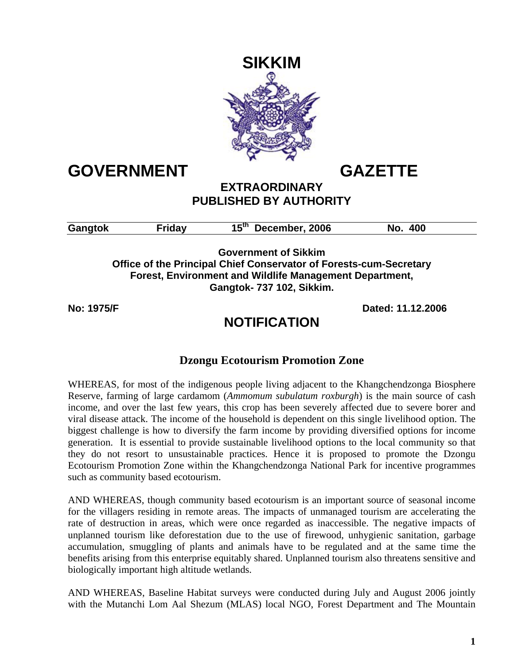

# **GOVERNMENT GAZETTE**

### **EXTRAORDINARY PUBLISHED BY AUTHORITY**

| Gangtok | $15^{\mathsf{th}}$<br>December, 2006 | 400 |  |
|---------|--------------------------------------|-----|--|
|         |                                      |     |  |

**Government of Sikkim Office of the Principal Chief Conservator of Forests-cum-Secretary Forest, Environment and Wildlife Management Department, Gangtok- 737 102, Sikkim.** 

**No: 1975/F Dated: 11.12.2006** 

## **NOTIFICATION**

## **Dzongu Ecotourism Promotion Zone**

WHEREAS, for most of the indigenous people living adjacent to the Khangchendzonga Biosphere Reserve, farming of large cardamom (*Ammomum subulatum roxburgh*) is the main source of cash income, and over the last few years, this crop has been severely affected due to severe borer and viral disease attack. The income of the household is dependent on this single livelihood option. The biggest challenge is how to diversify the farm income by providing diversified options for income generation. It is essential to provide sustainable livelihood options to the local community so that they do not resort to unsustainable practices. Hence it is proposed to promote the Dzongu Ecotourism Promotion Zone within the Khangchendzonga National Park for incentive programmes such as community based ecotourism.

AND WHEREAS, though community based ecotourism is an important source of seasonal income for the villagers residing in remote areas. The impacts of unmanaged tourism are accelerating the rate of destruction in areas, which were once regarded as inaccessible. The negative impacts of unplanned tourism like deforestation due to the use of firewood, unhygienic sanitation, garbage accumulation, smuggling of plants and animals have to be regulated and at the same time the benefits arising from this enterprise equitably shared. Unplanned tourism also threatens sensitive and biologically important high altitude wetlands.

AND WHEREAS, Baseline Habitat surveys were conducted during July and August 2006 jointly with the Mutanchi Lom Aal Shezum (MLAS) local NGO, Forest Department and The Mountain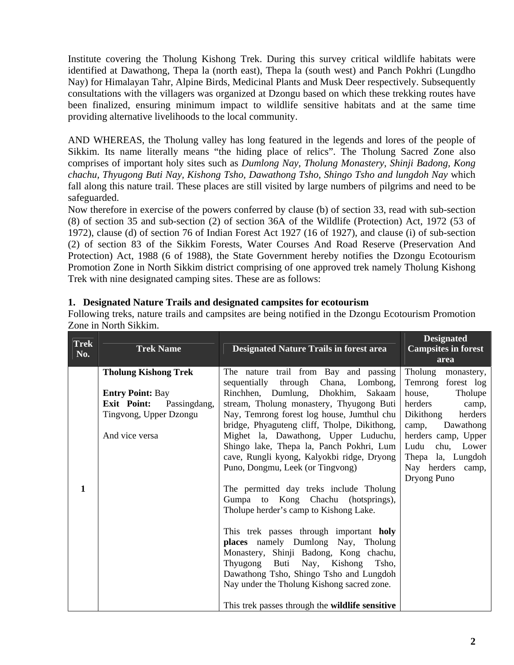Institute covering the Tholung Kishong Trek. During this survey critical wildlife habitats were identified at Dawathong, Thepa la (north east), Thepa la (south west) and Panch Pokhri (Lungdho Nay) for Himalayan Tahr, Alpine Birds, Medicinal Plants and Musk Deer respectively. Subsequently consultations with the villagers was organized at Dzongu based on which these trekking routes have been finalized, ensuring minimum impact to wildlife sensitive habitats and at the same time providing alternative livelihoods to the local community.

AND WHEREAS, the Tholung valley has long featured in the legends and lores of the people of Sikkim. Its name literally means "the hiding place of relics". The Tholung Sacred Zone also comprises of important holy sites such as *Dumlong Nay, Tholung Monastery, Shinji Badong, Kong chachu, Thyugong Buti Nay, Kishong Tsho, Dawathong Tsho, Shingo Tsho and lungdoh Nay* which fall along this nature trail. These places are still visited by large numbers of pilgrims and need to be safeguarded.

Now therefore in exercise of the powers conferred by clause (b) of section 33, read with sub-section (8) of section 35 and sub-section (2) of section 36A of the Wildlife (Protection) Act, 1972 (53 of 1972), clause (d) of section 76 of Indian Forest Act 1927 (16 of 1927), and clause (i) of sub-section (2) of section 83 of the Sikkim Forests, Water Courses And Road Reserve (Preservation And Protection) Act, 1988 (6 of 1988), the State Government hereby notifies the Dzongu Ecotourism Promotion Zone in North Sikkim district comprising of one approved trek namely Tholung Kishong Trek with nine designated camping sites. These are as follows:

#### **1. Designated Nature Trails and designated campsites for ecotourism**

Following treks, nature trails and campsites are being notified in the Dzongu Ecotourism Promotion Zone in North Sikkim.

| <b>Trek</b><br>No. | <b>Trek Name</b>                                                                                                                         | <b>Designated Nature Trails in forest area</b>                                                                                                                                                                                                                                                                                                                                                                                                                                                                                                                                                                                                                                                                                                                                                                                                                            | <b>Designated</b><br><b>Campsites in forest</b><br>area                                                                                                                                                                            |
|--------------------|------------------------------------------------------------------------------------------------------------------------------------------|---------------------------------------------------------------------------------------------------------------------------------------------------------------------------------------------------------------------------------------------------------------------------------------------------------------------------------------------------------------------------------------------------------------------------------------------------------------------------------------------------------------------------------------------------------------------------------------------------------------------------------------------------------------------------------------------------------------------------------------------------------------------------------------------------------------------------------------------------------------------------|------------------------------------------------------------------------------------------------------------------------------------------------------------------------------------------------------------------------------------|
| $\mathbf{1}$       | <b>Tholung Kishong Trek</b><br><b>Entry Point: Bay</b><br><b>Exit Point:</b><br>Passingdang,<br>Tingvong, Upper Dzongu<br>And vice versa | The nature trail from Bay and passing<br>sequentially through Chana, Lombong,<br>Rinchhen, Dumlung, Dhokhim, Sakaam<br>stream, Tholung monastery, Thyugong Buti<br>Nay, Temrong forest log house, Jumthul chu<br>bridge, Phyaguteng cliff, Tholpe, Dikithong,<br>Mighet la, Dawathong, Upper Luduchu,<br>Shingo lake, Thepa la, Panch Pokhri, Lum<br>cave, Rungli kyong, Kalyokbi ridge, Dryong<br>Puno, Dongmu, Leek (or Tingvong)<br>The permitted day treks include Tholung<br>Gumpa to Kong Chachu (hotsprings),<br>Tholupe herder's camp to Kishong Lake.<br>This trek passes through important holy<br>places namely Dumlong Nay, Tholung<br>Monastery, Shinji Badong, Kong chachu,<br>Thyugong Buti Nay, Kishong Tsho,<br>Dawathong Tsho, Shingo Tsho and Lungdoh<br>Nay under the Tholung Kishong sacred zone.<br>This trek passes through the wildlife sensitive | Tholung monastery,<br>Temrong forest log<br>Tholupe<br>house,<br>herders<br>camp,<br>Dikithong<br>herders<br>camp, Dawathong<br>herders camp, Upper<br>Ludu<br>chu, Lower<br>Thepa la, Lungdoh<br>Nay herders camp,<br>Dryong Puno |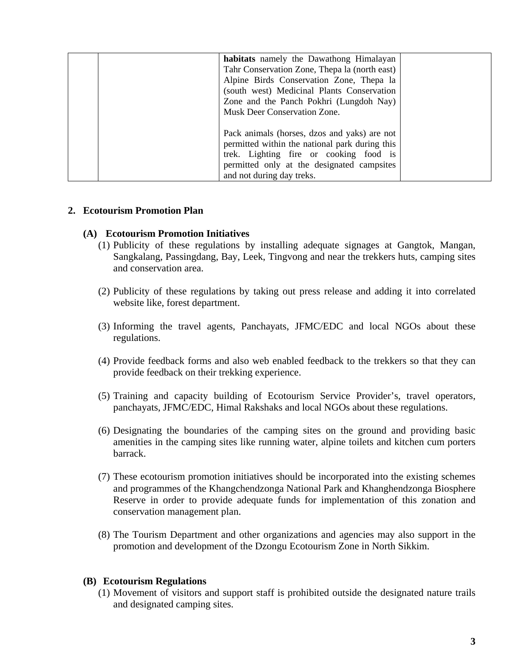| habitats namely the Dawathong Himalayan        |  |
|------------------------------------------------|--|
| Tahr Conservation Zone, Thepa la (north east)  |  |
| Alpine Birds Conservation Zone, Thepa la       |  |
| (south west) Medicinal Plants Conservation     |  |
| Zone and the Panch Pokhri (Lungdoh Nay)        |  |
| Musk Deer Conservation Zone.                   |  |
|                                                |  |
| Pack animals (horses, dzos and yaks) are not   |  |
| permitted within the national park during this |  |
| trek. Lighting fire or cooking food is         |  |
| permitted only at the designated campsites     |  |
| and not during day treks.                      |  |
|                                                |  |

#### **2. Ecotourism Promotion Plan**

#### **(A) Ecotourism Promotion Initiatives**

- (1) Publicity of these regulations by installing adequate signages at Gangtok, Mangan, Sangkalang, Passingdang, Bay, Leek, Tingvong and near the trekkers huts, camping sites and conservation area.
- (2) Publicity of these regulations by taking out press release and adding it into correlated website like, forest department.
- (3) Informing the travel agents, Panchayats, JFMC/EDC and local NGOs about these regulations.
- (4) Provide feedback forms and also web enabled feedback to the trekkers so that they can provide feedback on their trekking experience.
- (5) Training and capacity building of Ecotourism Service Provider's, travel operators, panchayats, JFMC/EDC, Himal Rakshaks and local NGOs about these regulations.
- (6) Designating the boundaries of the camping sites on the ground and providing basic amenities in the camping sites like running water, alpine toilets and kitchen cum porters barrack.
- (7) These ecotourism promotion initiatives should be incorporated into the existing schemes and programmes of the Khangchendzonga National Park and Khanghendzonga Biosphere Reserve in order to provide adequate funds for implementation of this zonation and conservation management plan.
- (8) The Tourism Department and other organizations and agencies may also support in the promotion and development of the Dzongu Ecotourism Zone in North Sikkim.

#### **(B) Ecotourism Regulations**

(1) Movement of visitors and support staff is prohibited outside the designated nature trails and designated camping sites.